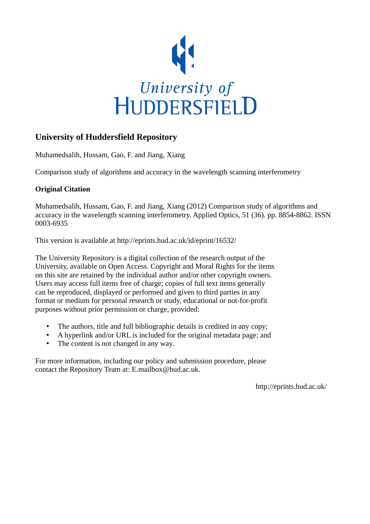

## **University of Huddersfield Repository**

Muhamedsalih, Hussam, Gao, F. and Jiang, Xiang

Comparison study of algorithms and accuracy in the wavelength scanning interferometry

### **Original Citation**

Muhamedsalih, Hussam, Gao, F. and Jiang, Xiang (2012) Comparison study of algorithms and accuracy in the wavelength scanning interferometry. Applied Optics, 51 (36). pp. 8854-8862. ISSN 0003-6935

This version is available at http://eprints.hud.ac.uk/id/eprint/16532/

The University Repository is a digital collection of the research output of the University, available on Open Access. Copyright and Moral Rights for the items on this site are retained by the individual author and/or other copyright owners. Users may access full items free of charge; copies of full text items generally can be reproduced, displayed or performed and given to third parties in any format or medium for personal research or study, educational or not-for-profit purposes without prior permission or charge, provided:

- The authors, title and full bibliographic details is credited in any copy;
- A hyperlink and/or URL is included for the original metadata page; and
- The content is not changed in any way.

For more information, including our policy and submission procedure, please contact the Repository Team at: E.mailbox@hud.ac.uk.

http://eprints.hud.ac.uk/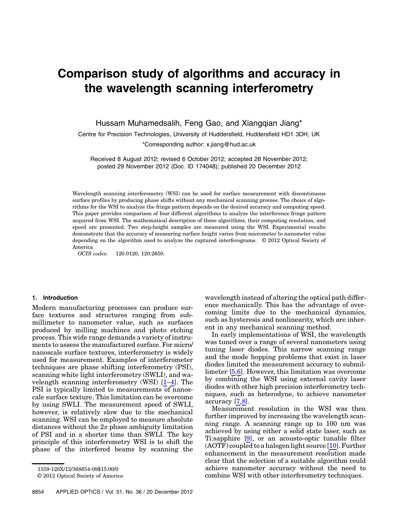# Comparison study of algorithms and accuracy in the wavelength scanning interferometry

Hussam Muhamedsalih, Feng Gao, and Xiangqian Jiang\*

Centre for Precision Technologies, University of Huddersfield, Huddersfield HD1 3DH, UK

\*Corresponding author: x.jiang@hud.ac.uk

Received 8 August 2012; revised 6 October 2012; accepted 28 November 2012; posted 29 November 2012 (Doc. ID 174048); published 20 December 2012

Wavelength scanning interferometry (WSI) can be used for surface measurement with discontinuous surface profiles by producing phase shifts without any mechanical scanning process. The choice of algorithms for the WSI to analyze the fringe pattern depends on the desired accuracy and computing speed. This paper provides comparison of four different algorithms to analyze the interference fringe pattern acquired from WSI. The mathematical description of these algorithms, their computing resolution, and speed are presented. Two step-height samples are measured using the WSI. Experimental results demonstrate that the accuracy of measuring surface height varies from micrometer to nanometer value depending on the algorithm used to analyze the captured interferograms. © 2012 Optical Society of America

OCIS codes: 120.0120, 120.2650.

#### 1. Introduction

Modern manufacturing processes can produce surface textures and structures ranging from submillimeter to nanometer value, such as surfaces produced by milling machines and photo etching process. This wide range demands a variety of instruments to assess the manufactured surface. For micro/ nanoscale surface textures, interferometry is widely used for measurement. Examples of interferometer techniques are phase shifting interferometry (PSI), scanning white light interferometry (SWLI), and wavelength scanning interferometry (WSI) [\[1](#page-8-0)–[4](#page-9-0)]. The PSI is typically limited to measurements of nanoscale surface texture. This limitation can be overcome by using SWLI. The measurement speed of SWLI, however, is relatively slow due to the mechanical scanning. WSI can be employed to measure absolute distances without the  $2\pi$  phase ambiguity limitation of PSI and in a shorter time than SWLI. The key principle of this interferometry WSI is to shift the phase of the interfered beams by scanning the

wavelength instead of altering the optical path difference mechanically. This has the advantage of overcoming limits due to the mechanical dynamics, such as hysteresis and nonlinearity, which are inherent in any mechanical scanning method.

In early implementations of WSI, the wavelength was tuned over a range of several nanometers using tuning laser diodes. This narrow scanning range and the mode hopping problems that exist in laser diodes limited the measurement accuracy to submillimeter [[5](#page-9-1),[6](#page-9-2)]. However, this limitation was overcome by combining the WSI using external cavity laser diodes with other high precision interferometry techniques, such as heterodyne, to achieve nanometer accuracy [[7](#page-9-3),[8](#page-9-4)].

Measurement resolution in the WSI was then further improved by increasing the wavelength scanning range. A scanning range up to 100 nm was achieved by using either a solid state laser, such as Ti:sapphire [[9](#page-9-5)], or an acousto-optic tunable filter (AOTF) coupled to a halogen light source [\[10](#page-9-6)]. Further enhancement in the measurement resolution made clear that the selection of a suitable algorithm could achieve nanometer accuracy without the need to combine WSI with other interferometry techniques.

<sup>1559-128</sup>X/12/368854-09\$15.00/0

<sup>© 2012</sup> Optical Society of America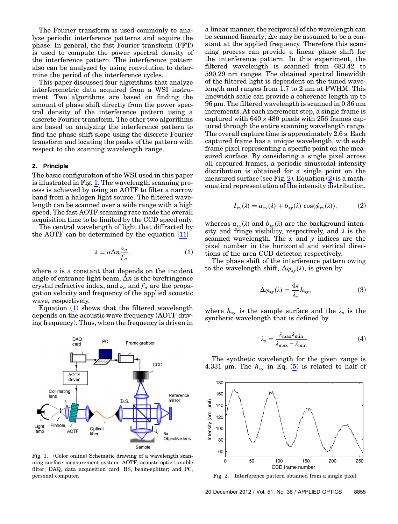The Fourier transform is used commonly to analyze periodic interference patterns and acquire the phase. In general, the fast Fourier transform (FFT) is used to compute the power spectral density of the interference pattern. The interference pattern also can be analyzed by using convolution to determine the period of the interference cycles.

This paper discussed four algorithms that analyze interferometric data acquired from a WSI instrument. Two algorithms are based on finding the amount of phase shift directly from the power spectral density of the interference pattern using a discrete Fourier transform. The other two algorithms are based on analyzing the interference pattern to find the phase shift slope using the discrete Fourier transform and locating the peaks of the pattern with respect to the scanning wavelength range.

#### <span id="page-2-4"></span>2. Principle

The basic configuration of the WSI used in this paper is illustrated in Fig. [1.](#page-2-0) The wavelength scanning process is achieved by using an AOTF to filter a narrow band from a halogen light source. The filtered wavelength can be scanned over a wide range with a high speed. The fast AOTF scanning rate made the overall acquisition time to be limited by the CCD speed only.

<span id="page-2-1"></span>The central wavelength of light that diffracted by the AOTF can be determined by the equation [[11\]](#page-9-7)

$$
\lambda = \alpha \Delta n \frac{v_a}{f_a},\tag{1}
$$

where  $\alpha$  is a constant that depends on the incident angle of entrance light beam,  $\Delta n$  is the birefringence crystal refractive index, and  $\nu_a$  and  $f_a$  are the propagation velocity and frequency of the applied acoustic wave, respectively.

Equation [\(1\)](#page-2-1) shows that the filtered wavelength depends on the acoustic wave frequency (AOTF driving frequency). Thus, when the frequency is driven in

<span id="page-2-0"></span>

Fig. 1. (Color online) Schematic drawing of a wavelength scanning surface measurement system. AOTF, acousto-optic tunable filter; DAQ, data acquisition card; BS, beam-splitter; and PC, personal computer.

a linear manner, the reciprocal of the wavelength can be scanned linearly;  $\Delta n$  may be assumed to be a constant at the applied frequency. Therefore this scanning process can provide a linear phase shift for the interference pattern. In this experiment, the filtered wavelength is scanned from 683.42 to 590.29 nm ranges. The obtained spectral linewidth of the filtered light is dependent on the tuned wavelength and ranges from 1.7 to 2 nm at FWHM. This linewidth scale can provide a coherence length up to 96 μm. The filtered wavelength is scanned in 0.36 nm increments. At each increment step, a single frame is captured with  $640 \times 480$  pixels with 256 frames captured through the entire scanning wavelength range. The overall capture time is approximately 2.6 s. Each captured frame has a unique wavelength, with each frame pixel representing a specific point on the measured surface. By considering a single pixel across all captured frames, a periodic sinusoidal intensity distribution is obtained for a single point on the measured surface (see Fig. [2](#page-2-3)). Equation  $(2)$  is a mathematical representation of the intensity distribution,

<span id="page-2-3"></span>
$$
I_{xy}(\lambda) = a_{xy}(\lambda) + b_{xy}(\lambda) \cos(\phi_{xy}(\lambda)), \tag{2}
$$

whereas  $a_{xy}(\lambda)$  and  $b_{xy}(\lambda)$  are the background intensity and fringe visibility, respectively, and  $\lambda$  is the scanned wavelength. The  $x$  and  $y$  indices are the pixel number in the horizontal and vertical directions of the area CCD detector, respectively.

The phase shift of the interference pattern owing to the wavelength shift,  $\Delta \varphi_{xy}(\lambda)$ , is given by

$$
\Delta \varphi_{xy}(\lambda) = \frac{4\pi}{\lambda_s} h_{xy},\tag{3}
$$

where  $h_{xy}$  is the sample surface and the  $\lambda_s$  is the synthetic wavelength that is defined by

$$
\lambda_s = \frac{\lambda_{\text{max}} \lambda_{\text{min}}}{\lambda_{\text{max}} - \lambda_{\text{min}}}.
$$
\n(4)

The synthetic wavelength for the given range is 4.331 µm. The  $h_{xy}$  in Eq. ([5](#page-3-0)) is related to half of

<span id="page-2-2"></span>

Fig. 2. Interference pattern obtained from a single pixel.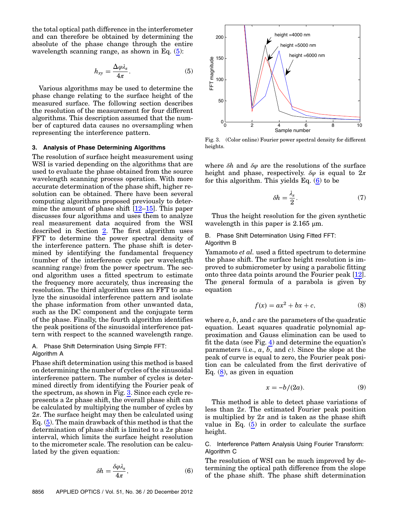<span id="page-3-0"></span>the total optical path difference in the interferometer and can therefore be obtained by determining the absolute of the phase change through the entire wavelength scanning range, as shown in Eq. ([5](#page-3-0)):

$$
h_{xy} = \frac{\Delta \varphi \lambda_s}{4\pi}.
$$
 (5)

Various algorithms may be used to determine the phase change relating to the surface height of the measured surface. The following section describes the resolution of the measurement for four different algorithms. This description assumed that the number of captured data causes no oversampling when representing the interference pattern.

#### 3. Analysis of Phase Determining Algorithms

The resolution of surface height measurement using WSI is varied depending on the algorithms that are used to evaluate the phase obtained from the source wavelength scanning process operation. With more accurate determination of the phase shift, higher resolution can be obtained. There have been several computing algorithms proposed previously to determine the amount of phase shift  $\overline{12-15}$  $\overline{12-15}$  $\overline{12-15}$ . This paper discusses four algorithms and uses them to analyze real measurement data acquired from the WSI described in Section [2](#page-2-4). The first algorithm uses FFT to determine the power spectral density of the interference pattern. The phase shift is determined by identifying the fundamental frequency (number of the interference cycle per wavelength scanning range) from the power spectrum. The second algorithm uses a fitted spectrum to estimate the frequency more accurately, thus increasing the resolution. The third algorithm uses an FFT to analyze the sinusoidal interference pattern and isolate the phase information from other unwanted data, such as the DC component and the conjugate term of the phase. Finally, the fourth algorithm identifies the peak positions of the sinusoidal interference pattern with respect to the scanned wavelength range.

#### <span id="page-3-4"></span>A. Phase Shift Determination Using Simple FFT: Algorithm A

Phase shift determination using this method is based on determining the number of cycles of the sinusoidal interference pattern. The number of cycles is determined directly from identifying the Fourier peak of the spectrum, as shown in Fig. [3.](#page-3-1) Since each cycle represents a  $2\pi$  phase shift, the overall phase shift can be calculated by multiplying the number of cycles by  $2\pi$ . The surface height may then be calculated using Eq. ([5](#page-3-0)). The main drawback of this method is that the determination of phase shift is limited to a  $2\pi$  phase interval, which limits the surface height resolution to the micrometer scale. The resolution can be calculated by the given equation:

<span id="page-3-2"></span>
$$
\delta h = \frac{\delta \varphi \lambda_s}{4\pi},\tag{6}
$$

<span id="page-3-1"></span>

Fig. 3. (Color online) Fourier power spectral density for different heights.

where  $\delta h$  and  $\delta \varphi$  are the resolutions of the surface height and phase, respectively.  $\delta\varphi$  is equal to  $2\pi$ for this algorithm. This yields Eq.  $(6)$  to be

$$
\delta h = \frac{\lambda_s}{2}.\tag{7}
$$

Thus the height resolution for the given synthetic wavelength in this paper is  $2.165 \mu m$ .

#### B. Phase Shift Determination Using Fitted FFT: Algorithm B

<span id="page-3-3"></span>Yamamoto *et al.* used a fitted spectrum to determine the phase shift. The surface height resolution is improved to submicrometer by using a parabolic fitting onto three data points around the Fourier peak [\[12](#page-9-8)]. The general formula of a parabola is given  $\overline{b}$ equation

$$
f(x) = ax^2 + bx + c,\tag{8}
$$

where  $a, b$ , and  $c$  are the parameters of the quadratic equation. Least squares quadratic polynomial approximation and Gauss elimination can be used to fit the data (see Fig. [4](#page-4-0)) and determine the equation'<sup>s</sup> parameters (i.e.,  $a, b$ , and c). Since the slope at the peak of curve is equal to zero, the Fourier peak position can be calculated from the first derivative of Eq.  $(8)$ , as given in equation

$$
x = -b/(2a). \tag{9}
$$

This method is able to detect phase variations of less than  $2\pi$ . The estimated Fourier peak position is multiplied by  $2\pi$  and is taken as the phase shift value in Eq. ([5](#page-3-0)) in order to calculate the surface height.

C. Interference Pattern Analysis Using Fourier Transform: Algorithm C

The resolution of WSI can be much improved by determining the optical path difference from the slope of the phase shift. The phase shift determination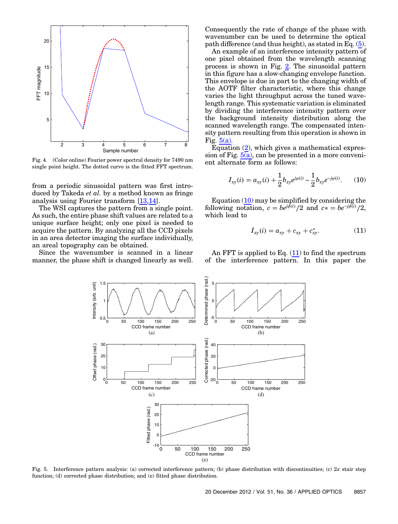<span id="page-4-0"></span>

Fig. 4. (Color online) Fourier power spectral density for 7490 nm single point height. The dotted curve is the fitted FFT spectrum.

from a periodic sinusoidal pattern was first introduced by Takeda *et al.* by a method known as fringe analysis using Fourier transform [\[13](#page-9-10),[14](#page-9-11)].

The WSI captures the pattern from a single point. As such, the entire phase shift values are related to a unique surface height; only one pixel is needed to acquire the pattern. By analyzing all the CCD pixels in an area detector imaging the surface individually, an areal topography can be obtained.

<span id="page-4-1"></span>Since the wavenumber is scanned in a linear manner, the phase shift is changed linearly as well.

Consequently the rate of change of the phase with wavenumber can be used to determine the optical path difference (and thus height), as stated in Eq. ([5](#page-3-0)).

An example of an interference intensity pattern of one pixel obtained from the wavelength scanning process is shown in Fig.  $2$ . The sinusoidal pattern in this figure has a slow-changing envelope function. This envelope is due in part to the changing width of the AOTF filter characteristic, where this change varies the light throughput across the tuned wavelength range. This systematic variation is eliminated by dividing the interference intensity pattern over the background intensity distribution along the scanned wavelength range. The compensated intensity pattern resulting from this operation is shown in Fig.  $5(a)$ .

<span id="page-4-2"></span>Equation ([2](#page-2-3)), which gives a mathematical expression of Fig.  $5(a)$ , can be presented in a more convenient alternate form as follows:

$$
I_{xy}(i) = a_{xy}(i) + \frac{1}{2}b_{xy}e^{j\varphi(i)} - \frac{1}{2}b_{xy}e^{-j\varphi(i)}.
$$
 (10)

<span id="page-4-3"></span>Equation  $(10)$  $(10)$  may be simplified by considering the following notation,  $c = be^{j\phi(i)}/2$  and  $c* = be^{-j\phi(i)}/2$ , which lead to

$$
I_{xy}(i) = a_{xy} + c_{xy} + c_{xy}^*.
$$
 (11)

An FFT is applied to Eq.  $(11)$  $(11)$  to find the spectrum of the interference pattern. In this paper the



Fig. 5. Interference pattern analysis: (a) corrected interference pattern; (b) phase distribution with discontinuities; (c)  $2\pi$  stair step function; (d) corrected phase distribution; and (e) fitted phase distribution.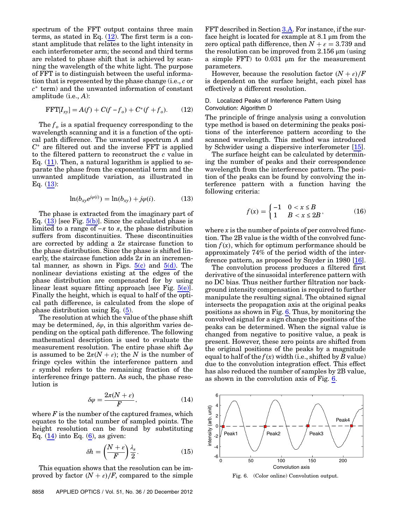spectrum of the FFT output contains three main terms, as stated in Eq.  $(12)$  $(12)$ . The first term is a constant amplitude that relates to the light intensity in each interferometer arm; the second and third terms are related to phase shift that is achieved by scanning the wavelength of the white light. The purpose of FFT is to distinguish between the useful information that is represented by the phase change (i.e., c or  $c^*$  term) and the unwanted information of constant amplitude (i.e., A):

<span id="page-5-0"></span>
$$
\text{FFT}[I_{xy}] = A(f) + C(f - f_o) + C^*(f + f_o). \tag{12}
$$

The  $f<sub>o</sub>$  is a spatial frequency corresponding to the wavelength scanning and it is a function of the optical path difference. The unwanted spectrum A and  $C^*$  are filtered out and the inverse FFT is applied to the filtered pattern to reconstruct the c value in Eq.  $(11)$  $(11)$  $(11)$ . Then, a natural logarithm is applied to separate the phase from the exponential term and the unwanted amplitude variation, as illustrated in Eq.  $(13)$  $(13)$ :

$$
\ln(b_{xy}e^{j\varphi(i)}) = \ln(b_{xy}) + j\varphi(i).
$$
 (13)

<span id="page-5-1"></span>The phase is extracted from the imaginary part of Eq.  $(13)$  $(13)$  [see Fig.  $5(b)$ ]. Since the calculated phase is limited to a range of  $-\pi$  to  $\pi$ , the phase distribution suffers from discontinuities. These discontinuities are corrected by adding a  $2\pi$  staircase function to the phase distribution. Since the phase is shifted linearly, the staircase function adds  $2\pi$  in an incremental manner, as shown in Figs.  $5(c)$  and  $5(d)$ . The nonlinear deviations existing at the edges of the phase distribution are compensated for by using linear least square fitting approach [see Fig.  $5(e)$ ]. Finally the height, which is equal to half of the optical path difference, is calculated from the slope of phase distribution using Eq. [\(5\)](#page-3-0).

The resolution at which the value of the phase shift may be determined,  $\delta\varphi$ , in this algorithm varies depending on the optical path difference. The following mathematical description is used to evaluate the measurement resolution. The entire phase shift  $\Delta\varphi$ is assumed to be  $2\pi(N+\epsilon)$ ; the N is the number of fringe cycles within the interference pattern and  $\varepsilon$  symbol refers to the remaining fraction of the interference fringe pattern. As such, the phase resolution is

$$
\delta \varphi = \frac{2\pi (N + \varepsilon)}{F},\tag{14}
$$

<span id="page-5-4"></span><span id="page-5-2"></span>where  $F$  is the number of the captured frames, which equates to the total number of sampled points. The height resolution can be found by substituting Eq.  $(14)$  $(14)$  into Eq.  $(6)$  $(6)$  $(6)$ , as given:

$$
\delta h = \left(\frac{N+\varepsilon}{F}\right)\frac{\lambda_s}{2}.\tag{15}
$$

This equation shows that the resolution can be improved by factor  $(N + \varepsilon)/F$ , compared to the simple

FFT described in Section [3.A.](#page-3-4) For instance, if the surface height is located for example at 8.1 μm from the zero optical path difference, then  $N + \varepsilon = 3.739$  and the resolution can be improved from  $2.156 \mu m$  (using a simple FFT) to 0.031 μm for the measurement parameters.

However, because the resolution factor  $(N + \varepsilon)/F$ is dependent on the surface height, each pixel has effectively a different resolution.

#### D. Localized Peaks of Interference Pattern Using Convolution: Algorithm D

The principle of fringe analysis using a convolution type method is based on determining the peaks positions of the interference pattern according to the scanned wavelength. This method was introduced by Schwider using a dispersive interferometer [\[15](#page-9-9)].

The surface height can be calculated by determining the number of peaks and their correspondence wavelength from the interference pattern. The position of the peaks can be found by convolving the interference pattern with a function having the following criteria:

$$
f(x) = \begin{cases} -1 & 0 < x \le B \\ 1 & B < x \le 2B \end{cases}
$$
 (16)

where  $x$  is the number of points of per convolved function. The 2B value is the width of the convolved function  $f(x)$ , which for optimum performance should be approximately 74% of the period width of the interference pattern, as proposed by Snyder in 1980 [\[16](#page-9-12)].

The convolution process produces a filtered first derivative of the sinusoidal interference pattern with no DC bias. Thus neither further filtration nor background intensity compensation is required to further manipulate the resulting signal. The obtained signal intersects the propagation axis at the original peaks positions as shown in Fig. [6](#page-5-3). Thus, by monitoring the convolved signal for a sign change the positions of the peaks can be determined. When the signal value is changed from negative to positive value, a peak is present. However, these zero points are shifted from the original positions of the peaks by a magnitude equal to half of the  $f(x)$  width (i.e., shifted by B value) due to the convolution integration effect. This effect has also reduced the number of samples by 2B value, as shown in the convolution axis of Fig. [6.](#page-5-3)

<span id="page-5-3"></span>

Fig. 6. (Color online) Convolution output.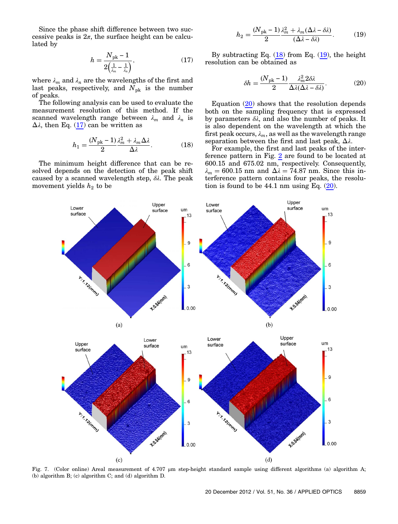<span id="page-6-0"></span>Since the phase shift difference between two successive peaks is  $2\pi$ , the surface height can be calculated by

$$
h = \frac{N_{\rm pk} - 1}{2\left(\frac{1}{\lambda_m} - \frac{1}{\lambda_n}\right)},\tag{17}
$$

where  $\lambda_m$  and  $\lambda_n$  are the wavelengths of the first and last peaks, respectively, and  $N_{\rm pk}$  is the number of peaks.

<span id="page-6-1"></span>The following analysis can be used to evaluate the measurement resolution of this method. If the scanned wavelength range between  $\lambda_m$  and  $\lambda_n$  is  $\Delta\lambda$ , then Eq. ([17\)](#page-6-0) can be written as

$$
h_1 = \frac{(N_{\rm pk} - 1)}{2} \frac{\lambda_m^2 + \lambda_m \Delta \lambda}{\Delta \lambda}.
$$
 (18)

<span id="page-6-2"></span>The minimum height difference that can be resolved depends on the detection of the peak shift caused by a scanned wavelength step,  $\delta \lambda$ . The peak movement yields  $h_2$  to be

$$
h_2 = \frac{(N_{\rm pk} - 1)}{2} \frac{\lambda_m^2 + \lambda_m (\Delta \lambda - \delta \lambda)}{(\Delta \lambda - \delta \lambda)}.
$$
 (19)

<span id="page-6-3"></span>By subtracting Eq.  $(18)$  $(18)$  from Eq.  $(19)$  $(19)$ , the height resolution can be obtained as

$$
\delta h = \frac{(N_{\rm pk} - 1)}{2} \frac{\lambda_m^2 2\delta \lambda}{\Delta \lambda (\Delta \lambda - \delta \lambda)}.
$$
 (20)

Equation ([20\)](#page-6-3) shows that the resolution depends both on the sampling frequency that is expressed by parameters  $\delta\lambda$ , and also the number of peaks. It is also dependent on the wavelength at which the first peak occurs,  $\lambda_m$ , as well as the wavelength range separation between the first and last peak,  $\Delta \lambda$ .

For example, the first and last peaks of the interference pattern in Fig. [2](#page-2-2) are found to be located at 600.15 and 675.02 nm, respectively. Consequently,  $\lambda_m = 600.15$  nm and  $\Delta \lambda = 74.87$  nm. Since this interference pattern contains four peaks, the resolution is found to be  $44.1 \text{ nm}$  using Eq.  $(20)$  $(20)$ .

<span id="page-6-4"></span>

Fig. 7. (Color online) Areal measurement of 4.707 μm step-height standard sample using different algorithms (a) algorithm A; (b) algorithm B; (c) algorithm C; and (d) algorithm D.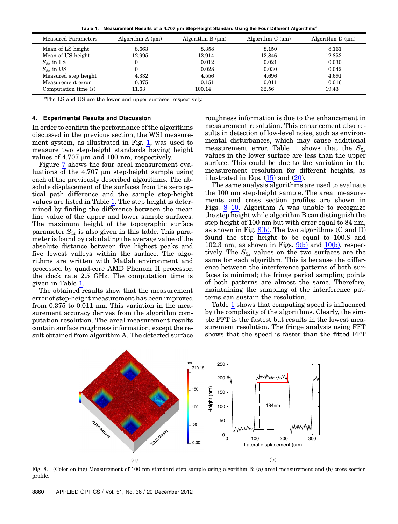Table 1. Measurement Results of a 4.707 μm Step-Height Standard Using the Four Different Algorithms*<sup>a</sup>*

<span id="page-7-0"></span>

| Measured Parameters    | Algorithm $A(\mu m)$ | Algorithm $B(\mu m)$ | Algorithm $C(\mu m)$ | Algorithm $D(\mu m)$ |
|------------------------|----------------------|----------------------|----------------------|----------------------|
| Mean of LS height      | 8.663                | 8.358                | 8.150                | 8.161                |
| Mean of US height      | 12.995               | 12.914               | 12.846               | 12.852               |
| $S_{5z}$ in LS         |                      | 0.012                | 0.021                | 0.030                |
| $S_{5z}$ in US         |                      | 0.028                | 0.030                | 0.042                |
| Measured step height   | 4.332                | 4.556                | 4.696                | 4.691                |
| Measurement error      | 0.375                | 0.151                | 0.011                | 0.016                |
| Computation time $(s)$ | 11.63                | 100.14               | 32.56                | 19.43                |

a The LS and US are the lower and upper surfaces, respectively.

#### 4. Experimental Results and Discussion

In order to confirm the performance of the algorithms discussed in the previous section, the WSI measurement system, as illustrated in Fig. [1](#page-2-0), was used to measure two step-height standards having height values of 4.707 μm and 100 nm, respectively.

Figure [7](#page-6-4) shows the four areal measurement evaluations of the 4.707 μm step-height sample using each of the previously described algorithms. The absolute displacement of the surfaces from the zero optical path difference and the sample step-height values are listed in Table [1](#page-7-0). The step height is determined by finding the difference between the mean line value of the upper and lower sample surfaces. The maximum height of the topographic surface parameter  $S_{5z}$  is also given in this table. This parameter is found by calculating the average value of the absolute distance between five highest peaks and five lowest valleys within the surface. The algorithms are written with Matlab environment and processed by quad-core AMD Phenom II processor, the clock rate 2.5 GHz. The computation time is given in Table [1](#page-7-0).

The obtained results show that the measurement error of step-height measurement has been improved from 0.375 to 0.011 nm. This variation in the measurement accuracy derives from the algorithm computation resolution. The areal measurement results contain surface roughness information, except the result obtained from algorithm A. The detected surface roughness information is due to the enhancement in measurement resolution. This enhancement also results in detection of low-level noise, such as environmental disturbances, which may cause additional measurement error. Table [1](#page-7-0) shows that the  $S_{5z}$ values in the lower surface are less than the upper surface. This could be due to the variation in the measurement resolution for different heights, as illustrated in Eqs.  $(15)$  $(15)$  and  $(20)$  $(20)$  $(20)$ .

The same analysis algorithms are used to evaluate the 100 nm step-height sample. The areal measurements and cross section profiles are shown in Figs. [8](#page-7-1)–[10.](#page-8-1) Algorithm A was unable to recognize the step height while algorithm B can distinguish the step height of 100 nm but with error equal to 84 nm, as shown in Fig.  $8(b)$ . The two algorithms (C and D) found the step height to be equal to 100.8 and 102.3 nm, as shown in Figs.  $9(b)$  and  $10(b)$ , respectively. The  $S_{5z}$  values on the two surfaces are the same for each algorithm. This is because the difference between the interference patterns of both surfaces is minimal; the fringe period sampling points of both patterns are almost the same. Therefore, maintaining the sampling of the interference patterns can sustain the resolution.

Table [1](#page-7-0) shows that computing speed is influenced by the complexity of the algorithms. Clearly, the simple FFT is the fastest but results in the lowest measurement resolution. The fringe analysis using FFT shows that the speed is faster than the fitted FFT

<span id="page-7-1"></span>

Fig. 8. (Color online) Measurement of 100 nm standard step sample using algorithm B: (a) areal measurement and (b) cross section profile.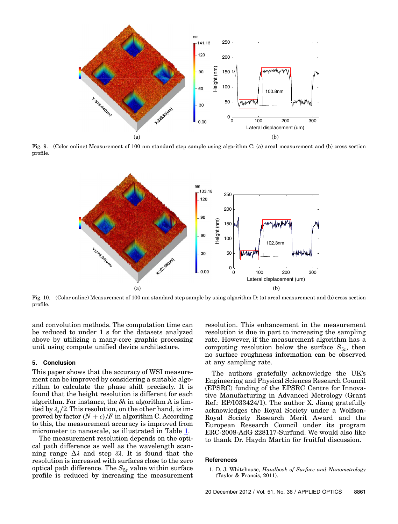<span id="page-8-2"></span>

<span id="page-8-1"></span>Fig. 9. (Color online) Measurement of 100 nm standard step sample using algorithm C: (a) areal measurement and (b) cross section profile.



Fig. 10. (Color online) Measurement of 100 nm standard step sample by using algorithm D: (a) areal measurement and (b) cross section profile.

and convolution methods. The computation time can be reduced to under 1 s for the datasets analyzed above by utilizing a many-core graphic processing unit using compute unified device architecture.

#### 5. Conclusion

This paper shows that the accuracy of WSI measurement can be improved by considering a suitable algorithm to calculate the phase shift precisely. It is found that the height resolution is different for each algorithm. For instance, the  $\delta h$  in algorithm A is limited by  $\lambda_s/2$ . This resolution, on the other hand, is improved by factor  $(N + \varepsilon)/F$  in algorithm C. According to this, the measurement accuracy is improved from micrometer to nanoscale, as illustrated in Table [1.](#page-7-0)

The measurement resolution depends on the optical path difference as well as the wavelength scanning range  $Δλ$  and step  $δλ$ . It is found that the resolution is increased with surfaces close to the zero optical path difference. The  $S_{5z}$  value within surface profile is reduced by increasing the measurement resolution. This enhancement in the measurement resolution is due in part to increasing the sampling rate. However, if the measurement algorithm has a computing resolution below the surface  $S_{5z}$ , then no surface roughness information can be observed at any sampling rate.

The authors gratefully acknowledge the UK'<sup>s</sup> Engineering and Physical Sciences Research Council (EPSRC) funding of the EPSRC Centre for Innovative Manufacturing in Advanced Metrology (Grant Ref.: EP/I033424/1). The author X. Jiang gratefully acknowledges the Royal Society under a Wolfson-Royal Society Research Merit Award and the European Research Council under its program ERC-2008-AdG 228117-Surfund. We would also like to thank Dr. Haydn Martin for fruitful discussion.

#### <span id="page-8-0"></span>References

<sup>1.</sup> D. J. Whitehouse, Handbook of Surface and Nanometrology (Taylor & Francis, 2011).